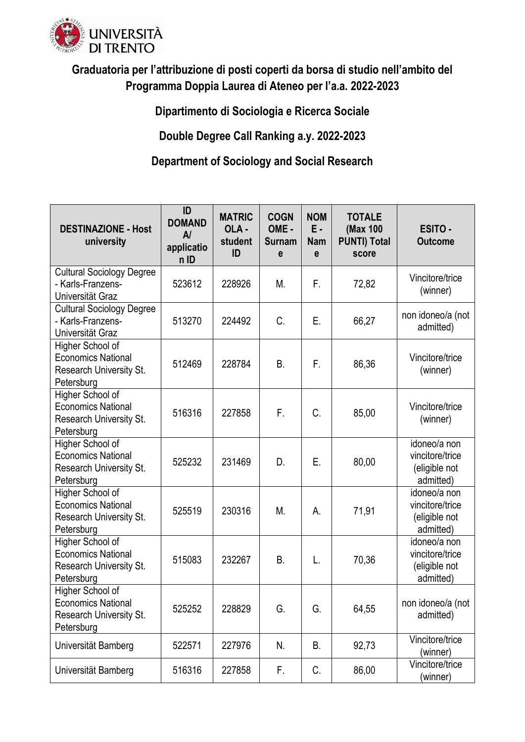

## **Graduatoria per l'attribuzione di posti coperti da borsa di studio nell'ambito del Programma Doppia Laurea di Ateneo per l'a.a. 2022-2023**

**Dipartimento di Sociologia e Ricerca Sociale**

**Double Degree Call Ranking a.y. 2022-2023** 

## **Department of Sociology and Social Research**

| <b>DESTINAZIONE - Host</b><br>university                                                      | ID<br><b>DOMAND</b><br>$\mathsf{A}$<br>applicatio<br>n ID | <b>MATRIC</b><br>OLA-<br>student<br>ID | <b>COGN</b><br>OME-<br><b>Surnam</b><br>e | <b>NOM</b><br>Ε.<br><b>Nam</b><br>e | <b>TOTALE</b><br>(Max 100<br><b>PUNTI) Total</b><br>score | <b>ESITO -</b><br><b>Outcome</b>                              |
|-----------------------------------------------------------------------------------------------|-----------------------------------------------------------|----------------------------------------|-------------------------------------------|-------------------------------------|-----------------------------------------------------------|---------------------------------------------------------------|
| <b>Cultural Sociology Degree</b><br>- Karls-Franzens-<br>Universität Graz                     | 523612                                                    | 228926                                 | M.                                        | F.                                  | 72,82                                                     | Vincitore/trice<br>(winner)                                   |
| <b>Cultural Sociology Degree</b><br>- Karls-Franzens-<br>Universität Graz                     | 513270                                                    | 224492                                 | C.                                        | Е.                                  | 66,27                                                     | non idoneo/a (not<br>admitted)                                |
| Higher School of<br><b>Economics National</b><br>Research University St.<br>Petersburg        | 512469                                                    | 228784                                 | <b>B.</b>                                 | F.                                  | 86,36                                                     | Vincitore/trice<br>(winner)                                   |
| Higher School of<br><b>Economics National</b><br>Research University St.<br>Petersburg        | 516316                                                    | 227858                                 | F.                                        | C.                                  | 85,00                                                     | Vincitore/trice<br>(winner)                                   |
| Higher School of<br><b>Economics National</b><br><b>Research University St.</b><br>Petersburg | 525232                                                    | 231469                                 | D.                                        | Ε.                                  | 80,00                                                     | idoneo/a non<br>vincitore/trice<br>(eligible not<br>admitted) |
| Higher School of<br><b>Economics National</b><br>Research University St.<br>Petersburg        | 525519                                                    | 230316                                 | M.                                        | А.                                  | 71,91                                                     | idoneo/a non<br>vincitore/trice<br>(eligible not<br>admitted) |
| Higher School of<br><b>Economics National</b><br>Research University St.<br>Petersburg        | 515083                                                    | 232267                                 | <b>B.</b>                                 | L.                                  | 70,36                                                     | idoneo/a non<br>vincitore/trice<br>(eligible not<br>admitted) |
| Higher School of<br><b>Economics National</b><br><b>Research University St.</b><br>Petersburg | 525252                                                    | 228829                                 | G.                                        | G.                                  | 64,55                                                     | non idoneo/a (not<br>admitted)                                |
| Universität Bamberg                                                                           | 522571                                                    | 227976                                 | N.                                        | B.                                  | 92,73                                                     | Vincitore/trice<br>(winner)                                   |
| Universität Bamberg                                                                           | 516316                                                    | 227858                                 | F.                                        | C.                                  | 86,00                                                     | Vincitore/trice<br>(winner)                                   |